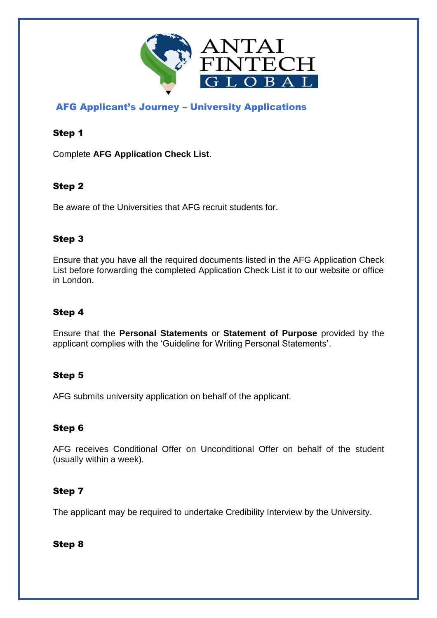

# AFG Applicant's Journey – University Applications

## Step 1

Complete **AFG Application Check List**.

# Step 2

Be aware of the Universities that AFG recruit students for.

## Step 3

Ensure that you have all the required documents listed in the AFG Application Check List before forwarding the completed Application Check List it to our website or office in London.

# Step 4

Ensure that the **Personal Statements** or **Statement of Purpose** provided by the applicant complies with the 'Guideline for Writing Personal Statements'.

### Step 5

AFG submits university application on behalf of the applicant.

### Step 6

AFG receives Conditional Offer on Unconditional Offer on behalf of the student (usually within a week).

### Step 7

The applicant may be required to undertake Credibility Interview by the University.

Step 8